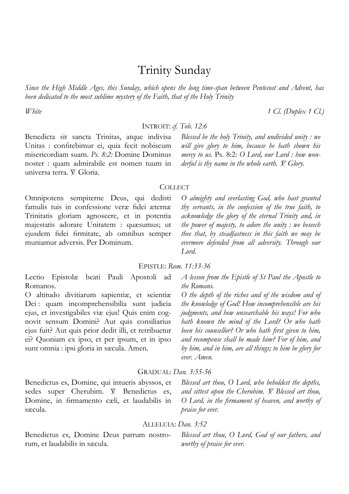# Trinity Sunday

*Since the High Middle Ages, this Sunday, which opens the long time-span between Pentecost and Advent, has been dedicated to the most sublime mystery of the Faith, that of the Holy Trinity*

## INTROIT: *cf. Tob. 12:6*

Benedicta sit sancta Trinitas, atque indivisa Unitas : confitebimur ei, quia fecit nobiscum misericordiam suam. *Ps. 8:2:* Domine Dominus noster : quam admirabile est nomen tuum in universa terra. V. Gloria.

*Blessed be the holy Trinity, and undivided unity : we will give glory to him, because he hath shown his mercy to us.* Ps. 8:2: *O Lord, our Lord : how wonderful is thy name in the whole earth. V. Glory.* 

#### **COLLECT**

Omnipotens sempiterne Deus, qui dedisti famulis tuis in confessione veræ fidei æternæ Trinitatis gloriam agnoscere, et in potentia majestatis adorare Unitatem : quæsumus; ut ejusdem fidei firmitate, ab omnibus semper muniamur adversis. Per Dominum.

*O almighty and everlasting God, who hast granted thy servants, in the confession of the true faith, to acknowledge the glory of the eternal Trinity and, in the power of majesty, to adore the unity : we beseech thee that, by steadfastness in this faith we may be evermore defended from all adversity. Through our Lord.* 

## EPISTLE: *Rom. 11:33-36*

Lectio Epistolæ beati Pauli Apostoli ad Romanos.

O altitudo divitiarum sapientiæ, et scientiæ Dei : quam incomprehensibilia sunt judicia ejus, et investigabiles viæ ejus! Quis enim cognovit sensum Domini? Aut quis consiliarius ejus fuit? Aut quis prior dedit illi, et retribuetur ei? Quoniam ex ipso, et per ipsum, et in ipso sunt omnia : ipsi gloria in sæcula. Amen.

*A lesson from the Epistle of St Paul the Apostle to the Romans.* 

*O the depth of the riches and of the wisdom and of the knowledge of God! How incomprehensible are his judgments, and how unsearchable his ways! For who hath known the mind of the Lord? Or who hath been his counsellor? Or who hath first given to him, and recompense shall be made him? For of him, and by him, and in him, are all things; to him be glory for ever. Amen.* 

## GRADUAL: *Dan. 3:55-56*

Benedictus es, Domine, qui intueris abyssos, et sedes super Cherubim.  $\mathbb{X}$  Benedictus es, Domine, in firmamento cæli, et laudabilis in sæcula.

*Blessed art thou, O Lord, who beholdest the depths, and sittest upon the Cherubim. V.* Blessed art thou, *O Lord, in the firmament of heaven, and worthy of praise for ever.* 

#### ALLELUIA: *Dan. 3:52*

Benedictus es, Domine Deus patrum nostrorum, et laudabilis in sæcula.

*Blessed art thou, O Lord, God of our fathers, and worthy of praise for ever.* 

*White 1 Cl. (Duplex 1 Cl.)*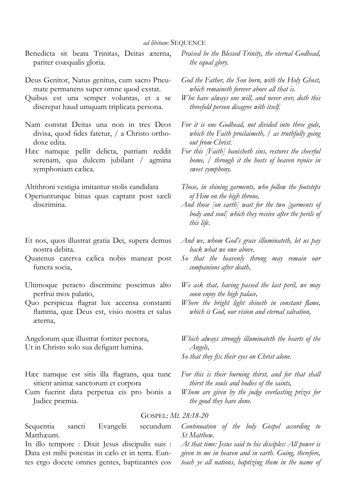- Benedicta sit beata Trinitas, Deitas æterna, pariter coæqualis gloria.
- Deus Genitor, Natus genitus, cum sacro Pneumate permanens super omne quod exstat.
- Quibus est una semper voluntas, et a se discrepat haud umquam triplicata persona.
- Nam constat Deitas una non in tres Deos divisa, quod fides fatetur, / a Christo orthodoxe edita.
- Hæc namque pellit delicta, patriam reddit serenam, qua dulcem jubilant / agmina symphoniam cælica.

Altithroni vestigia imitantur stolis candidata

- Operiunturque binas quas captant post sæcli discrimina.
- Et nos, quos illustrat gratia Dei, supera demus nostra debita.
- Quatenus caterva cælica nobis maneat post funera socia,
- Ultimoque peracto discrimine poscimus alto perfrui mox palatio,
- Quo perspicua flagrat lux accensa constanti flamma, quæ Deus est, visio nostra et salus æterna,

Angelorum quæ illustrat fortiter pectora, Ut in Christo solo sua defigant lumina.

- Hæc namque est sitis illa flagrans, qua tunc sitient animæ sanctorum et corpora
- Cum fuerint data perpetua eis pro bonis a Judice præmia.
- *Praised be the Blessed Trinity, the eternal Godhead, the equal glory.*
- *God the Father, the Son born, with the Holy Ghost, which remaineth forever above all that is.*
- *Who have always one will, and never ever, doth this threefold person disagree with itself.*
- *For it is one Godhead, not divided into three gods, which the Faith proclaimeth, / as truthfully going out from Christ.*
- *For this [Faith] banisheth sins, restores the cheerful home, / through it the hosts of heaven rejoice in sweet symphony.*
- *Those, in shining garments, who follow the footsteps of Him on the high throne,*
- *And those [on earth] wait for the two [garments of body and soul] which they receive after the perils of this life.*
- *And we, whom God's grace illuminateth, let us pay back what we owe above.*
- *So that the heavenly throng may remain our companions after death,*
- *We ask that, having passed the last peril, we may soon enjoy the high palace,*
- *Where the bright light shineth in constant flame, which is God, our vision and eternal salvation,*
- *Which always strongly illuminateth the hearts of the Angels,*
- *So that they fix their eyes on Christ alone.*
- *For this is their burning thirst, and for that shall thirst the souls and bodies of the saints,*
- *Whom are given by the judge everlasting prizes for the good they have done.*

#### GOSPEL: *Mt. 28:18-20*

Sequentia sancti Evangelii secundum Matthæum.

In illo tempore : Dixit Jesus discipulis suis : Data est mihi potestas in cælo et in terra. Euntes ergo docete omnes gentes, baptizantes eos

*Continuation of the holy Gospel according to St Matthew.* 

*At that time: Jesus said to his disciples: All power is given to me in heaven and in earth. Going, therefore, teach ye all nations, baptizing them in the name of*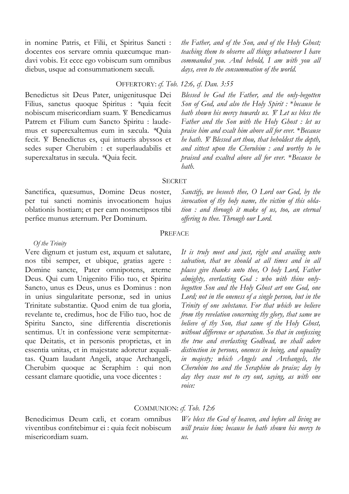in nomine Patris, et Filii, et Spiritus Sancti : docentes eos servare omnia quæcumque mandavi vobis. Et ecce ego vobiscum sum omnibus diebus, usque ad consummationem sæculi.

*the Father, and of the Son, and of the Holy Ghost; teaching them to observe all things whatsoever I have commanded you. And behold, I am with you all days, even to the consummation of the world.* 

#### OFFERTORY: *cf. Tob. 12:6, cf. Dan. 3:55*

Benedictus sit Deus Pater, unigenitusque Dei Filius, sanctus quoque Spiritus : *\**quia fecit nobiscum misericordiam suam. V. Benedicamus Patrem et Filium cum Sancto Spiritu : laudemus et superexaltemus eum in sæcula. *\**Quia fecit.  $\mathbb{V}$ . Benedictus es, qui intueris abyssos et sedes super Cherubim : et superlaudabilis et superexaltatus in sæcula. *\**Quia fecit.

*Blessed be God the Father, and the only-begotten Son of God, and also the Holy Spirit :* \**because he hath shown his mercy towards us. V. Let us bless the Father and the Son with the Holy Ghost : let us praise him and exalt him above all for ever.* \**Because he hath.*  $\breve{Y}$ . Blessed art thou, that beholdest the depth, *and sittest upon the Cherubim : and worthy to be praised and exalted above all for ever.* \**Because he hath.* 

#### **SECRET**

Sanctifica, quæsumus, Domine Deus noster, per tui sancti nominis invocationem hujus oblationis hostiam; et per eam nosmetipsos tibi perfice munus æternum. Per Dominum.

*Sanctify, we beseech thee, O Lord our God, by the invocation of thy holy name, the victim of this oblation : and through it make of us, too, an eternal offering to thee. Through our Lord.* 

#### PREFACE

### *Of the Trinity*

Vere dignum et justum est, æquum et salutare, nos tibi semper, et ubique, gratias agere : Domine sancte, Pater omnipotens, æterne Deus. Qui cum Unigenito Filio tuo, et Spiritu Sancto, unus es Deus, unus es Dominus : non in unius singularitate personæ, sed in unius Trinitate substantiæ. Quod enim de tua gloria, revelante te, credimus, hoc de Filio tuo, hoc de Spiritu Sancto, sine differentia discretionis sentimus. Ut in confessione veræ sempiternæque Deitatis, et in personis proprietas, et in essentia unitas, et in majestate adoretur æqualitas. Quam laudant Angeli, atque Archangeli, Cherubim quoque ac Seraphim : qui non cessant clamare quotidie, una voce dicentes :

*It is truly meet and just, right and availing unto salvation, that we should at all times and in all places give thanks unto thee, O holy Lord, Father almighty, everlasting God : who with thine onlybegotten Son and the Holy Ghost art one God, one Lord; not in the oneness of a single person, but in the Trinity of one substance. For that which we believe from thy revelation concerning thy glory, that same we believe of thy Son, that same of the Holy Ghost, without difference or separation. So that in confessing the true and everlasting Godhead, we shall adore distinction in persons, oneness in being, and equality in majesty; which Angels and Archangels, the Cherubim too and the Seraphim do praise; day by day they cease not to cry out, saying, as with one voice:* 

#### COMMUNION: *cf. Tob. 12:6*

Benedicimus Deum cæli, et coram omnibus viventibus confitebimur ei : quia fecit nobiscum misericordiam suam.

*We bless the God of heaven, and before all living we will praise him; because he hath shown his mercy to us.*